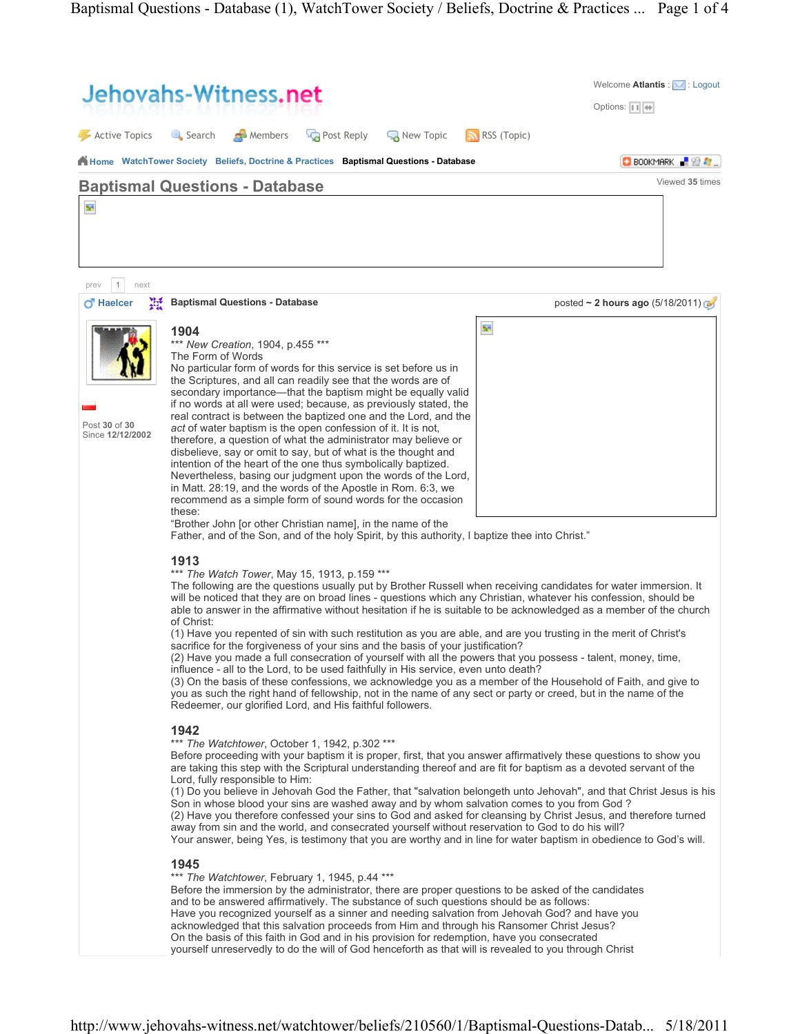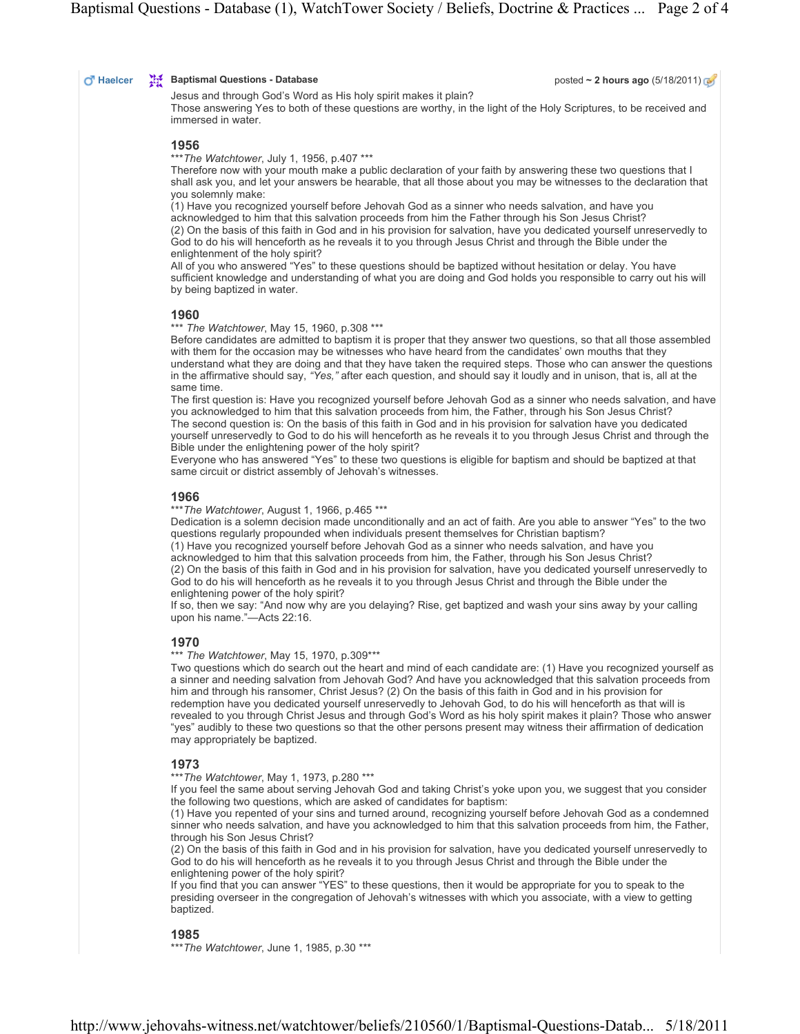#### $\overline{\mathbf{C}}$  Haelcer  $\overline{\mathbf{C}}$  Baptismal Questions - Database posted ~ 2 hours ago (5/18/2011)

Jesus and through God's Word as His holy spirit makes it plain? Those answering Yes to both of these questions are worthy, in the light of the Holy Scriptures, to be received and immersed in water.

#### 1956

\*\*\* The Watchtower, July 1, 1956, p.407 \*\*\*

Therefore now with your mouth make a public declaration of your faith by answering these two questions that I shall ask you, and let your answers be hearable, that all those about you may be witnesses to the declaration that you solemnly make:

(1) Have you recognized yourself before Jehovah God as a sinner who needs salvation, and have you acknowledged to him that this salvation proceeds from him the Father through his Son Jesus Christ? (2) On the basis of this faith in God and in his provision for salvation, have you dedicated yourself unreservedly to God to do his will henceforth as he reveals it to you through Jesus Christ and through the Bible under the enlightenment of the holy spirit?

All of you who answered "Yes" to these questions should be baptized without hesitation or delay. You have sufficient knowledge and understanding of what you are doing and God holds you responsible to carry out his will by being baptized in water.

# 1960

\*\*\* The Watchtower, May 15, 1960, p.308 \*\*\*

Before candidates are admitted to baptism it is proper that they answer two questions, so that all those assembled with them for the occasion may be witnesses who have heard from the candidates' own mouths that they understand what they are doing and that they have taken the required steps. Those who can answer the questions in the affirmative should say, "Yes," after each question, and should say it loudly and in unison, that is, all at the same time.

The first question is: Have you recognized yourself before Jehovah God as a sinner who needs salvation, and have you acknowledged to him that this salvation proceeds from him, the Father, through his Son Jesus Christ? The second question is: On the basis of this faith in God and in his provision for salvation have you dedicated yourself unreservedly to God to do his will henceforth as he reveals it to you through Jesus Christ and through the Bible under the enlightening power of the holy spirit?

Everyone who has answered "Yes" to these two questions is eligible for baptism and should be baptized at that same circuit or district assembly of Jehovah's witnesses.

#### 1966

\*\*\* The Watchtower, August 1, 1966, p.465 \*\*\*

Dedication is a solemn decision made unconditionally and an act of faith. Are you able to answer "Yes" to the two questions regularly propounded when individuals present themselves for Christian baptism?

(1) Have you recognized yourself before Jehovah God as a sinner who needs salvation, and have you acknowledged to him that this salvation proceeds from him, the Father, through his Son Jesus Christ? (2) On the basis of this faith in God and in his provision for salvation, have you dedicated yourself unreservedly to God to do his will henceforth as he reveals it to you through Jesus Christ and through the Bible under the enlightening power of the holy spirit?

If so, then we say: "And now why are you delaying? Rise, get baptized and wash your sins away by your calling upon his name."—Acts 22:16.

# 1970

\*\*\* The Watchtower, May 15, 1970, p.309\*\*\*

Two questions which do search out the heart and mind of each candidate are: (1) Have you recognized yourself as a sinner and needing salvation from Jehovah God? And have you acknowledged that this salvation proceeds from him and through his ransomer, Christ Jesus? (2) On the basis of this faith in God and in his provision for redemption have you dedicated yourself unreservedly to Jehovah God, to do his will henceforth as that will is revealed to you through Christ Jesus and through God's Word as his holy spirit makes it plain? Those who answer "yes" audibly to these two questions so that the other persons present may witness their affirmation of dedication may appropriately be baptized.

# 1973

\*\*\* The Watchtower, May 1, 1973, p.280 \*\*\*

If you feel the same about serving Jehovah God and taking Christ's yoke upon you, we suggest that you consider the following two questions, which are asked of candidates for baptism:

(1) Have you repented of your sins and turned around, recognizing yourself before Jehovah God as a condemned sinner who needs salvation, and have you acknowledged to him that this salvation proceeds from him, the Father, through his Son Jesus Christ?

(2) On the basis of this faith in God and in his provision for salvation, have you dedicated yourself unreservedly to God to do his will henceforth as he reveals it to you through Jesus Christ and through the Bible under the enlightening power of the holy spirit?

If you find that you can answer "YES" to these questions, then it would be appropriate for you to speak to the presiding overseer in the congregation of Jehovah's witnesses with which you associate, with a view to getting baptized.

# 1985

\*\*\*The Watchtower, June 1, 1985, p.30 \*\*\*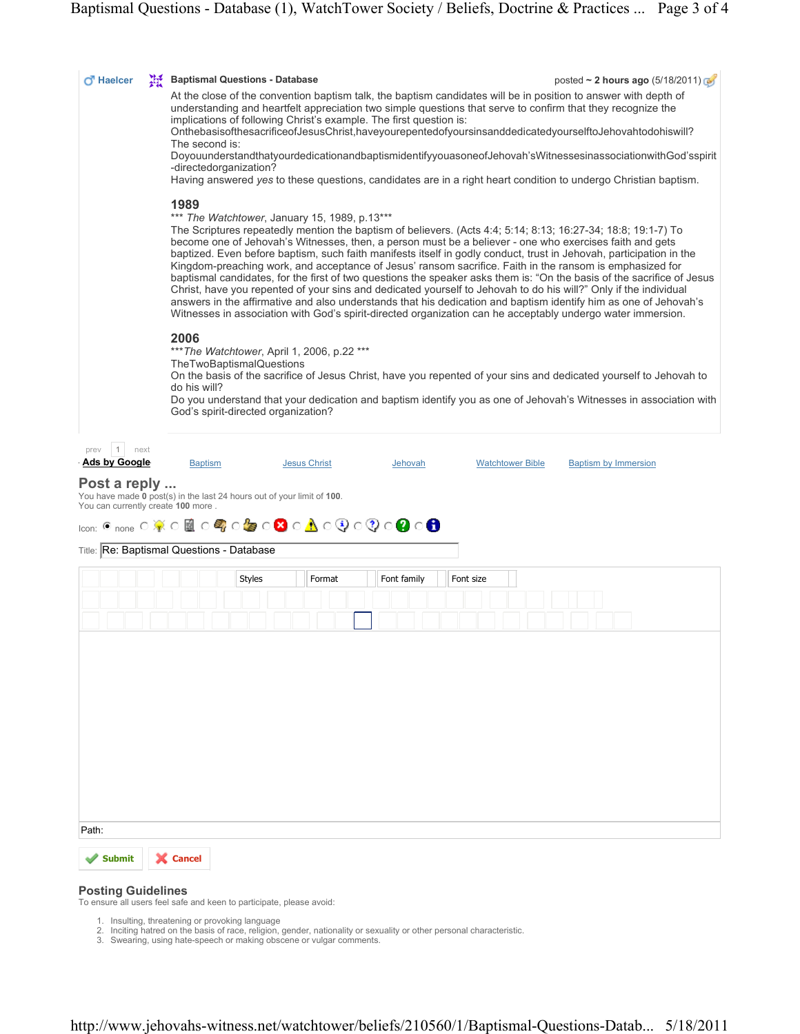| O Haelcer<br>擬                     | <b>Baptismal Questions - Database</b>                                                                                                                                                                                                                                                                                                                                                                                                                                                                                                                                                                                                                                                                                                                                                                                                                                          |                                                                        |                                                                                                                                                                                                                                |                         | posted ~ 2 hours ago (5/18/2011) |  |
|------------------------------------|--------------------------------------------------------------------------------------------------------------------------------------------------------------------------------------------------------------------------------------------------------------------------------------------------------------------------------------------------------------------------------------------------------------------------------------------------------------------------------------------------------------------------------------------------------------------------------------------------------------------------------------------------------------------------------------------------------------------------------------------------------------------------------------------------------------------------------------------------------------------------------|------------------------------------------------------------------------|--------------------------------------------------------------------------------------------------------------------------------------------------------------------------------------------------------------------------------|-------------------------|----------------------------------|--|
|                                    |                                                                                                                                                                                                                                                                                                                                                                                                                                                                                                                                                                                                                                                                                                                                                                                                                                                                                |                                                                        | At the close of the convention baptism talk, the baptism candidates will be in position to answer with depth of<br>understanding and heartfelt appreciation two simple questions that serve to confirm that they recognize the |                         |                                  |  |
|                                    | implications of following Christ's example. The first question is:<br>OnthebasisofthesacrificeofJesusChrist,haveyourepentedofyoursinsanddedicatedyourselftoJehovahtodohiswill?<br>The second is:<br>DoyouunderstandthatyourdedicationandbaptismidentifyyouasoneofJehovah'sWitnessesinassociationwithGod'sspirit                                                                                                                                                                                                                                                                                                                                                                                                                                                                                                                                                                |                                                                        |                                                                                                                                                                                                                                |                         |                                  |  |
|                                    |                                                                                                                                                                                                                                                                                                                                                                                                                                                                                                                                                                                                                                                                                                                                                                                                                                                                                |                                                                        |                                                                                                                                                                                                                                |                         |                                  |  |
|                                    |                                                                                                                                                                                                                                                                                                                                                                                                                                                                                                                                                                                                                                                                                                                                                                                                                                                                                |                                                                        |                                                                                                                                                                                                                                |                         |                                  |  |
|                                    | -directedorganization?<br>Having answered yes to these questions, candidates are in a right heart condition to undergo Christian baptism.                                                                                                                                                                                                                                                                                                                                                                                                                                                                                                                                                                                                                                                                                                                                      |                                                                        |                                                                                                                                                                                                                                |                         |                                  |  |
|                                    |                                                                                                                                                                                                                                                                                                                                                                                                                                                                                                                                                                                                                                                                                                                                                                                                                                                                                |                                                                        |                                                                                                                                                                                                                                |                         |                                  |  |
|                                    | 1989                                                                                                                                                                                                                                                                                                                                                                                                                                                                                                                                                                                                                                                                                                                                                                                                                                                                           |                                                                        |                                                                                                                                                                                                                                |                         |                                  |  |
|                                    | *** The Watchtower, January 15, 1989, p.13***<br>The Scriptures repeatedly mention the baptism of believers. (Acts 4:4: 5:14: 8:13: 16:27-34: 18:8: 19:1-7) To<br>become one of Jehovah's Witnesses, then, a person must be a believer - one who exercises faith and gets<br>baptized. Even before baptism, such faith manifests itself in godly conduct, trust in Jehovah, participation in the<br>Kingdom-preaching work, and acceptance of Jesus' ransom sacrifice. Faith in the ransom is emphasized for<br>baptismal candidates, for the first of two questions the speaker asks them is: "On the basis of the sacrifice of Jesus<br>Christ, have you repented of your sins and dedicated yourself to Jehovah to do his will?" Only if the individual<br>answers in the affirmative and also understands that his dedication and baptism identify him as one of Jehovah's |                                                                        |                                                                                                                                                                                                                                |                         |                                  |  |
|                                    |                                                                                                                                                                                                                                                                                                                                                                                                                                                                                                                                                                                                                                                                                                                                                                                                                                                                                |                                                                        |                                                                                                                                                                                                                                |                         |                                  |  |
|                                    |                                                                                                                                                                                                                                                                                                                                                                                                                                                                                                                                                                                                                                                                                                                                                                                                                                                                                |                                                                        |                                                                                                                                                                                                                                |                         |                                  |  |
|                                    |                                                                                                                                                                                                                                                                                                                                                                                                                                                                                                                                                                                                                                                                                                                                                                                                                                                                                |                                                                        |                                                                                                                                                                                                                                |                         |                                  |  |
|                                    |                                                                                                                                                                                                                                                                                                                                                                                                                                                                                                                                                                                                                                                                                                                                                                                                                                                                                |                                                                        |                                                                                                                                                                                                                                |                         |                                  |  |
|                                    | Witnesses in association with God's spirit-directed organization can he acceptably undergo water immersion.                                                                                                                                                                                                                                                                                                                                                                                                                                                                                                                                                                                                                                                                                                                                                                    |                                                                        |                                                                                                                                                                                                                                |                         |                                  |  |
|                                    | 2006<br>*** The Watchtower, April 1, 2006, p.22 ***<br>TheTwoBaptismalQuestions<br>On the basis of the sacrifice of Jesus Christ, have you repented of your sins and dedicated yourself to Jehovah to<br>do his will?<br>Do you understand that your dedication and baptism identify you as one of Jehovah's Witnesses in association with                                                                                                                                                                                                                                                                                                                                                                                                                                                                                                                                     |                                                                        |                                                                                                                                                                                                                                |                         |                                  |  |
|                                    |                                                                                                                                                                                                                                                                                                                                                                                                                                                                                                                                                                                                                                                                                                                                                                                                                                                                                |                                                                        |                                                                                                                                                                                                                                |                         |                                  |  |
|                                    |                                                                                                                                                                                                                                                                                                                                                                                                                                                                                                                                                                                                                                                                                                                                                                                                                                                                                |                                                                        |                                                                                                                                                                                                                                |                         |                                  |  |
|                                    |                                                                                                                                                                                                                                                                                                                                                                                                                                                                                                                                                                                                                                                                                                                                                                                                                                                                                |                                                                        |                                                                                                                                                                                                                                |                         |                                  |  |
|                                    |                                                                                                                                                                                                                                                                                                                                                                                                                                                                                                                                                                                                                                                                                                                                                                                                                                                                                |                                                                        |                                                                                                                                                                                                                                |                         |                                  |  |
|                                    | God's spirit-directed organization?                                                                                                                                                                                                                                                                                                                                                                                                                                                                                                                                                                                                                                                                                                                                                                                                                                            |                                                                        |                                                                                                                                                                                                                                |                         |                                  |  |
|                                    |                                                                                                                                                                                                                                                                                                                                                                                                                                                                                                                                                                                                                                                                                                                                                                                                                                                                                |                                                                        |                                                                                                                                                                                                                                |                         |                                  |  |
| $\mathbf{1}$<br>next<br>prev       |                                                                                                                                                                                                                                                                                                                                                                                                                                                                                                                                                                                                                                                                                                                                                                                                                                                                                |                                                                        |                                                                                                                                                                                                                                |                         |                                  |  |
| <b>Ads by Google</b>               | <b>Baptism</b>                                                                                                                                                                                                                                                                                                                                                                                                                                                                                                                                                                                                                                                                                                                                                                                                                                                                 | <b>Jesus Christ</b>                                                    | Jehovah                                                                                                                                                                                                                        | <b>Watchtower Bible</b> | <b>Baptism by Immersion</b>      |  |
| Post a reply                       |                                                                                                                                                                                                                                                                                                                                                                                                                                                                                                                                                                                                                                                                                                                                                                                                                                                                                |                                                                        |                                                                                                                                                                                                                                |                         |                                  |  |
| You can currently create 100 more. |                                                                                                                                                                                                                                                                                                                                                                                                                                                                                                                                                                                                                                                                                                                                                                                                                                                                                | You have made 0 post(s) in the last 24 hours out of your limit of 100. |                                                                                                                                                                                                                                |                         |                                  |  |
|                                    |                                                                                                                                                                                                                                                                                                                                                                                                                                                                                                                                                                                                                                                                                                                                                                                                                                                                                | <u>icon: © none ○ ※ ○ 國 ○ 号 ○ 每 ○ 19 ○ 19 ○ 19 ○ ① ○ ① ○ 19 ○ 19</u>   |                                                                                                                                                                                                                                |                         |                                  |  |
|                                    | Title: Re: Baptismal Questions - Database                                                                                                                                                                                                                                                                                                                                                                                                                                                                                                                                                                                                                                                                                                                                                                                                                                      |                                                                        |                                                                                                                                                                                                                                |                         |                                  |  |
|                                    |                                                                                                                                                                                                                                                                                                                                                                                                                                                                                                                                                                                                                                                                                                                                                                                                                                                                                |                                                                        |                                                                                                                                                                                                                                |                         |                                  |  |
|                                    |                                                                                                                                                                                                                                                                                                                                                                                                                                                                                                                                                                                                                                                                                                                                                                                                                                                                                | <b>Styles</b><br>Format                                                | Font family                                                                                                                                                                                                                    | Font size               |                                  |  |
|                                    |                                                                                                                                                                                                                                                                                                                                                                                                                                                                                                                                                                                                                                                                                                                                                                                                                                                                                |                                                                        |                                                                                                                                                                                                                                |                         |                                  |  |
|                                    |                                                                                                                                                                                                                                                                                                                                                                                                                                                                                                                                                                                                                                                                                                                                                                                                                                                                                |                                                                        |                                                                                                                                                                                                                                |                         |                                  |  |
|                                    |                                                                                                                                                                                                                                                                                                                                                                                                                                                                                                                                                                                                                                                                                                                                                                                                                                                                                |                                                                        |                                                                                                                                                                                                                                |                         |                                  |  |
|                                    |                                                                                                                                                                                                                                                                                                                                                                                                                                                                                                                                                                                                                                                                                                                                                                                                                                                                                |                                                                        |                                                                                                                                                                                                                                |                         |                                  |  |
|                                    |                                                                                                                                                                                                                                                                                                                                                                                                                                                                                                                                                                                                                                                                                                                                                                                                                                                                                |                                                                        |                                                                                                                                                                                                                                |                         |                                  |  |
|                                    |                                                                                                                                                                                                                                                                                                                                                                                                                                                                                                                                                                                                                                                                                                                                                                                                                                                                                |                                                                        |                                                                                                                                                                                                                                |                         |                                  |  |
|                                    |                                                                                                                                                                                                                                                                                                                                                                                                                                                                                                                                                                                                                                                                                                                                                                                                                                                                                |                                                                        |                                                                                                                                                                                                                                |                         |                                  |  |
|                                    |                                                                                                                                                                                                                                                                                                                                                                                                                                                                                                                                                                                                                                                                                                                                                                                                                                                                                |                                                                        |                                                                                                                                                                                                                                |                         |                                  |  |
|                                    |                                                                                                                                                                                                                                                                                                                                                                                                                                                                                                                                                                                                                                                                                                                                                                                                                                                                                |                                                                        |                                                                                                                                                                                                                                |                         |                                  |  |
|                                    |                                                                                                                                                                                                                                                                                                                                                                                                                                                                                                                                                                                                                                                                                                                                                                                                                                                                                |                                                                        |                                                                                                                                                                                                                                |                         |                                  |  |
|                                    |                                                                                                                                                                                                                                                                                                                                                                                                                                                                                                                                                                                                                                                                                                                                                                                                                                                                                |                                                                        |                                                                                                                                                                                                                                |                         |                                  |  |
|                                    |                                                                                                                                                                                                                                                                                                                                                                                                                                                                                                                                                                                                                                                                                                                                                                                                                                                                                |                                                                        |                                                                                                                                                                                                                                |                         |                                  |  |
|                                    |                                                                                                                                                                                                                                                                                                                                                                                                                                                                                                                                                                                                                                                                                                                                                                                                                                                                                |                                                                        |                                                                                                                                                                                                                                |                         |                                  |  |
|                                    |                                                                                                                                                                                                                                                                                                                                                                                                                                                                                                                                                                                                                                                                                                                                                                                                                                                                                |                                                                        |                                                                                                                                                                                                                                |                         |                                  |  |
| Path:                              |                                                                                                                                                                                                                                                                                                                                                                                                                                                                                                                                                                                                                                                                                                                                                                                                                                                                                |                                                                        |                                                                                                                                                                                                                                |                         |                                  |  |

# Posting Guidelines

To ensure all users feel safe and keen to participate, please avoid:

- 
- 1. Insulting, threatening or provoking language<br>2. Inciting hatred on the basis of race, religion, gender, nationality or sexuality or other personal characteristic.<br>3. Swearing, using hate-speech or making obscene or vu
-